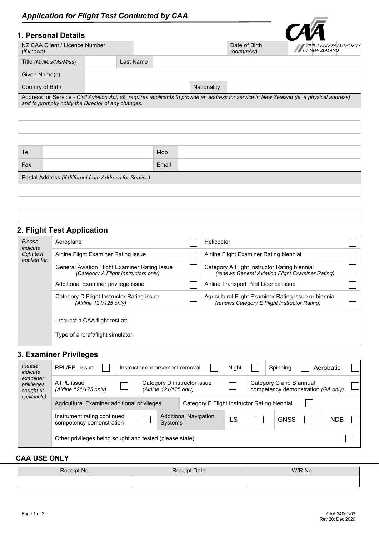# *Application for Flight Test Conducted by CAA*

## **1. Personal Details**

|                                              | ı. Personal Detalis |                                                        |  |       |                             |                                            |                                                                                                                                             |  |
|----------------------------------------------|---------------------|--------------------------------------------------------|--|-------|-----------------------------|--------------------------------------------|---------------------------------------------------------------------------------------------------------------------------------------------|--|
| NZ CAA Client / Licence Number<br>(if known) |                     |                                                        |  |       | Date of Birth<br>(dd/mm/yy) | CIVIL AVIATION AUTHORITY<br>OF NEW ZEALAND |                                                                                                                                             |  |
| Last Name<br>Title (Mr/Mrs/Ms/Miss)          |                     |                                                        |  |       |                             |                                            |                                                                                                                                             |  |
| Given Name(s)                                |                     |                                                        |  |       |                             |                                            |                                                                                                                                             |  |
| Country of Birth                             |                     |                                                        |  |       | Nationality                 |                                            |                                                                                                                                             |  |
|                                              |                     | and to promptly notify the Director of any changes.    |  |       |                             |                                            | Address for Service - Civil Aviation Act, s8, requires applicants to provide an address for service in New Zealand (ie, a physical address) |  |
|                                              |                     |                                                        |  |       |                             |                                            |                                                                                                                                             |  |
|                                              |                     |                                                        |  |       |                             |                                            |                                                                                                                                             |  |
|                                              |                     |                                                        |  |       |                             |                                            |                                                                                                                                             |  |
| Tel                                          |                     |                                                        |  | Mob   |                             |                                            |                                                                                                                                             |  |
| Fax                                          |                     |                                                        |  | Email |                             |                                            |                                                                                                                                             |  |
|                                              |                     | Postal Address (if different from Address for Service) |  |       |                             |                                            |                                                                                                                                             |  |
|                                              |                     |                                                        |  |       |                             |                                            |                                                                                                                                             |  |
|                                              |                     |                                                        |  |       |                             |                                            |                                                                                                                                             |  |
|                                              |                     |                                                        |  |       |                             |                                            |                                                                                                                                             |  |

# **2. Flight Test Application**

| Please<br>indicate<br>flight test<br>applied for. | Aeroplane                                                                             |  | Helicopter                                                                                            |  |
|---------------------------------------------------|---------------------------------------------------------------------------------------|--|-------------------------------------------------------------------------------------------------------|--|
|                                                   | Airline Flight Examiner Rating issue                                                  |  | Airline Flight Examiner Rating biennial                                                               |  |
|                                                   | General Aviation Flight Examiner Rating Issue<br>(Category A Flight Instructors only) |  | Category A Flight Instructor Rating biennial<br>(renews General Aviation Flight Examiner Rating)      |  |
|                                                   | Additional Examiner privilege issue                                                   |  | Airline Transport Pilot Licence issue                                                                 |  |
|                                                   | Category D Flight Instructor Rating issue<br>(Airline 121/125 only)                   |  | Agricultural Flight Examiner Rating issue or biennial<br>(renews Category E Flight Instructor Rating) |  |
|                                                   | l request a CAA flight test at:<br>Type of aircraft/flight simulator:                 |  |                                                                                                       |  |
|                                                   |                                                                                       |  |                                                                                                       |  |

# **3. Examiner Privileges**

| Please<br>indicate<br>examiner<br>privileges<br>sought (if | RPL/PPL issue                                            |  |                                              | Instructor endorsement removal |                                                       | Night |  | Spinning                                                      |  | Aerobatic  |  |
|------------------------------------------------------------|----------------------------------------------------------|--|----------------------------------------------|--------------------------------|-------------------------------------------------------|-------|--|---------------------------------------------------------------|--|------------|--|
|                                                            | ATPL issue<br>(Airline 121/125 only)                     |  |                                              |                                | Category D instructor issue<br>(Airline 121/125 only) |       |  | Category C and B annual<br>competency demonstration (GA only) |  |            |  |
| applicable).                                               | Agricultural Examiner additional privileges              |  | Category E Flight Instructor Rating biennial |                                |                                                       |       |  |                                                               |  |            |  |
|                                                            | Instrument rating continued<br>competency demonstration  |  |                                              | Systems                        | <b>Additional Navigation</b>                          | ILS   |  | <b>GNSS</b>                                                   |  | <b>NDB</b> |  |
|                                                            | Other privileges being sought and tested (please state): |  |                                              |                                |                                                       |       |  |                                                               |  |            |  |

### **CAA USE ONLY**

| Receipt No. | Date<br>⊀eceıpt | W/R No. |
|-------------|-----------------|---------|
|             |                 |         |

 $CA\overline{A}$